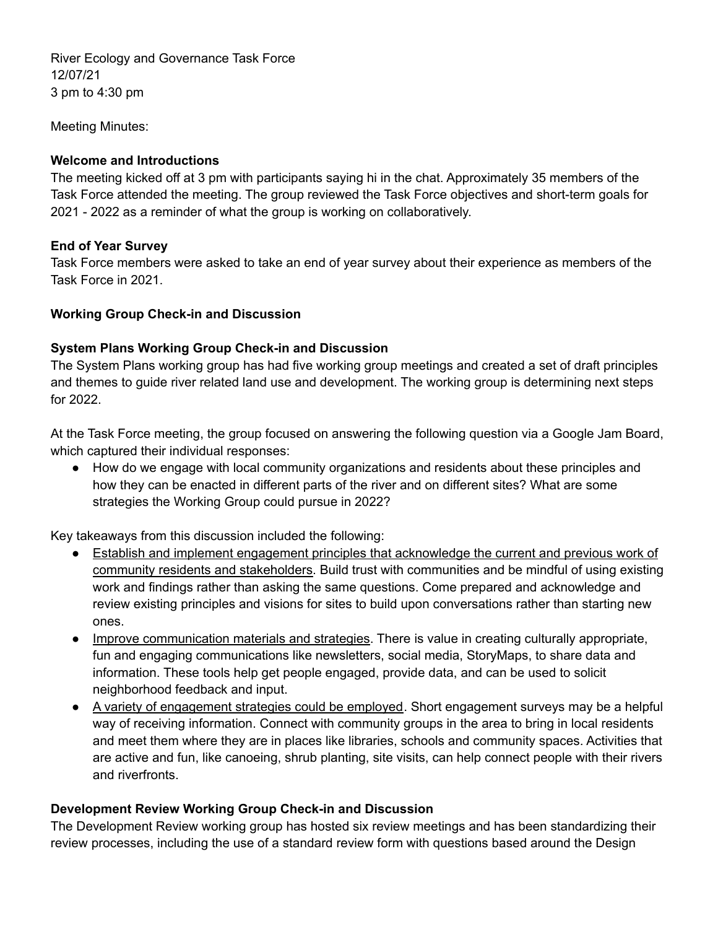River Ecology and Governance Task Force 12/07/21 3 pm to 4:30 pm

Meeting Minutes:

### **Welcome and Introductions**

The meeting kicked off at 3 pm with participants saying hi in the chat. Approximately 35 members of the Task Force attended the meeting. The group reviewed the Task Force objectives and short-term goals for 2021 - 2022 as a reminder of what the group is working on collaboratively.

### **End of Year Survey**

Task Force members were asked to take an end of year survey about their experience as members of the Task Force in 2021.

### **Working Group Check-in and Discussion**

### **System Plans Working Group Check-in and Discussion**

The System Plans working group has had five working group meetings and created a set of draft principles and themes to guide river related land use and development. The working group is determining next steps for 2022.

At the Task Force meeting, the group focused on answering the following question via a Google Jam Board, which captured their individual responses:

● How do we engage with local community organizations and residents about these principles and how they can be enacted in different parts of the river and on different sites? What are some strategies the Working Group could pursue in 2022?

Key takeaways from this discussion included the following:

- Establish and implement engagement principles that acknowledge the current and previous work of community residents and stakeholders. Build trust with communities and be mindful of using existing work and findings rather than asking the same questions. Come prepared and acknowledge and review existing principles and visions for sites to build upon conversations rather than starting new ones.
- Improve communication materials and strategies. There is value in creating culturally appropriate, fun and engaging communications like newsletters, social media, StoryMaps, to share data and information. These tools help get people engaged, provide data, and can be used to solicit neighborhood feedback and input.
- A variety of engagement strategies could be employed. Short engagement surveys may be a helpful way of receiving information. Connect with community groups in the area to bring in local residents and meet them where they are in places like libraries, schools and community spaces. Activities that are active and fun, like canoeing, shrub planting, site visits, can help connect people with their rivers and riverfronts.

## **Development Review Working Group Check-in and Discussion**

The Development Review working group has hosted six review meetings and has been standardizing their review processes, including the use of a standard review form with questions based around the Design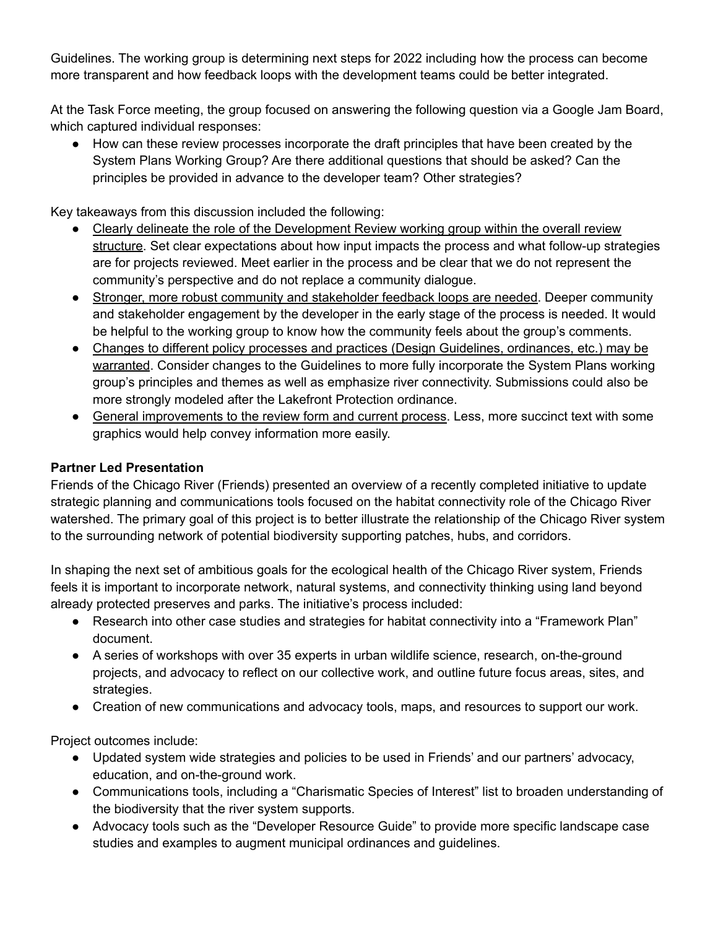Guidelines. The working group is determining next steps for 2022 including how the process can become more transparent and how feedback loops with the development teams could be better integrated.

At the Task Force meeting, the group focused on answering the following question via a Google Jam Board, which captured individual responses:

● How can these review processes incorporate the draft principles that have been created by the System Plans Working Group? Are there additional questions that should be asked? Can the principles be provided in advance to the developer team? Other strategies?

Key takeaways from this discussion included the following:

- Clearly delineate the role of the Development Review working group within the overall review structure. Set clear expectations about how input impacts the process and what follow-up strategies are for projects reviewed. Meet earlier in the process and be clear that we do not represent the community's perspective and do not replace a community dialogue.
- Stronger, more robust community and stakeholder feedback loops are needed. Deeper community and stakeholder engagement by the developer in the early stage of the process is needed. It would be helpful to the working group to know how the community feels about the group's comments.
- Changes to different policy processes and practices (Design Guidelines, ordinances, etc.) may be warranted. Consider changes to the Guidelines to more fully incorporate the System Plans working group's principles and themes as well as emphasize river connectivity. Submissions could also be more strongly modeled after the Lakefront Protection ordinance.
- General improvements to the review form and current process. Less, more succinct text with some graphics would help convey information more easily.

# **Partner Led Presentation**

Friends of the Chicago River (Friends) presented an overview of a recently completed initiative to update strategic planning and communications tools focused on the habitat connectivity role of the Chicago River watershed. The primary goal of this project is to better illustrate the relationship of the Chicago River system to the surrounding network of potential biodiversity supporting patches, hubs, and corridors.

In shaping the next set of ambitious goals for the ecological health of the Chicago River system, Friends feels it is important to incorporate network, natural systems, and connectivity thinking using land beyond already protected preserves and parks. The initiative's process included:

- Research into other case studies and strategies for habitat connectivity into a "Framework Plan" document.
- A series of workshops with over 35 experts in urban wildlife science, research, on-the-ground projects, and advocacy to reflect on our collective work, and outline future focus areas, sites, and strategies.
- Creation of new communications and advocacy tools, maps, and resources to support our work.

Project outcomes include:

- Updated system wide strategies and policies to be used in Friends' and our partners' advocacy, education, and on-the-ground work.
- Communications tools, including a "Charismatic Species of Interest" list to broaden understanding of the biodiversity that the river system supports.
- Advocacy tools such as the "Developer Resource Guide" to provide more specific landscape case studies and examples to augment municipal ordinances and guidelines.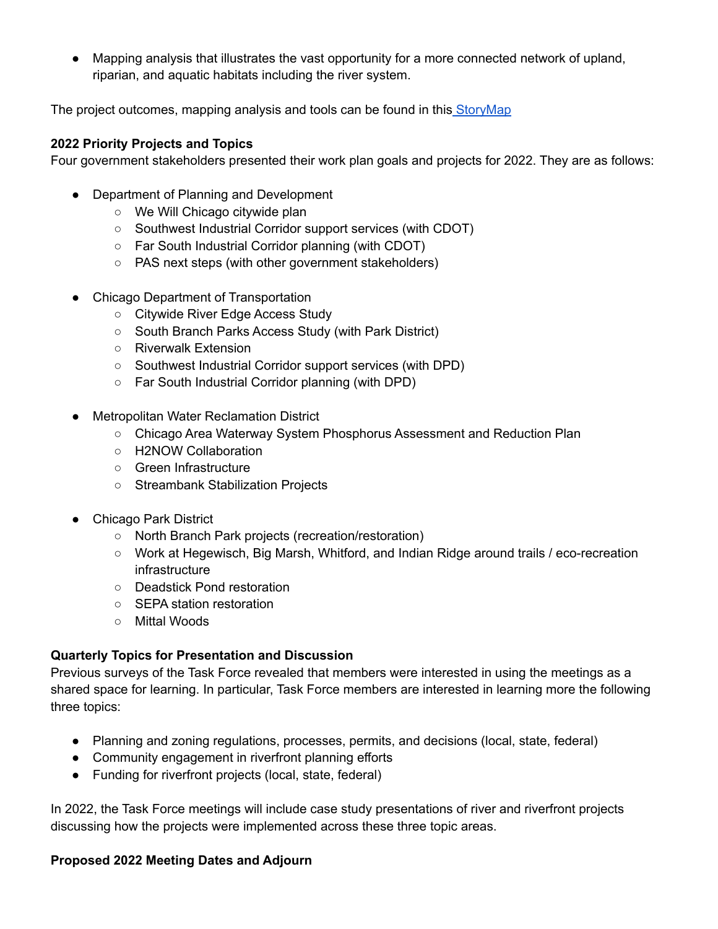● Mapping analysis that illustrates the vast opportunity for a more connected network of upland, riparian, and aquatic habitats including the river system.

The project outcomes, mapping analysis and tools can be found in this [StoryMap](https://storymaps.arcgis.com/stories/49633d2508474ad48a1d6d341e14b459)

### **2022 Priority Projects and Topics**

Four government stakeholders presented their work plan goals and projects for 2022. They are as follows:

- Department of Planning and Development
	- We Will Chicago citywide plan
	- Southwest Industrial Corridor support services (with CDOT)
	- Far South Industrial Corridor planning (with CDOT)
	- PAS next steps (with other government stakeholders)
- Chicago Department of Transportation
	- Citywide River Edge Access Study
	- South Branch Parks Access Study (with Park District)
	- Riverwalk Extension
	- Southwest Industrial Corridor support services (with DPD)
	- Far South Industrial Corridor planning (with DPD)
- Metropolitan Water Reclamation District
	- Chicago Area Waterway System Phosphorus Assessment and Reduction Plan
	- H2NOW Collaboration
	- Green Infrastructure
	- Streambank Stabilization Projects
- Chicago Park District
	- North Branch Park projects (recreation/restoration)
	- Work at Hegewisch, Big Marsh, Whitford, and Indian Ridge around trails / eco-recreation infrastructure
	- Deadstick Pond restoration
	- SEPA station restoration
	- Mittal Woods

## **Quarterly Topics for Presentation and Discussion**

Previous surveys of the Task Force revealed that members were interested in using the meetings as a shared space for learning. In particular, Task Force members are interested in learning more the following three topics:

- Planning and zoning regulations, processes, permits, and decisions (local, state, federal)
- Community engagement in riverfront planning efforts
- Funding for riverfront projects (local, state, federal)

In 2022, the Task Force meetings will include case study presentations of river and riverfront projects discussing how the projects were implemented across these three topic areas.

#### **Proposed 2022 Meeting Dates and Adjourn**